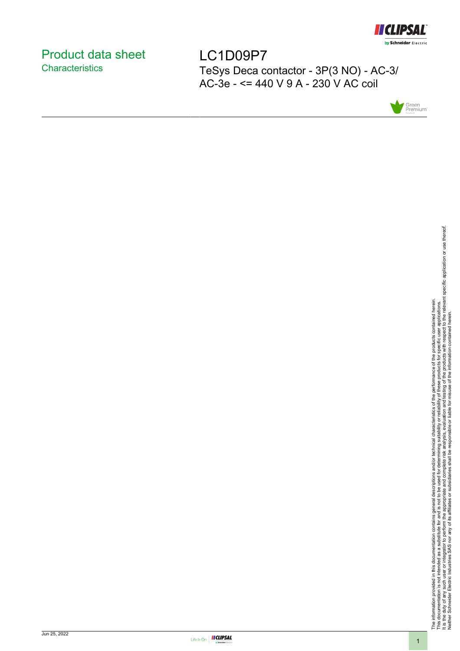

# <span id="page-0-0"></span>Product data sheet **Characteristics**

LC1D09P7 TeSys Deca contactor - 3P(3 NO) - AC-3/ AC-3e - <= 440 V 9 A - 230 V AC coil





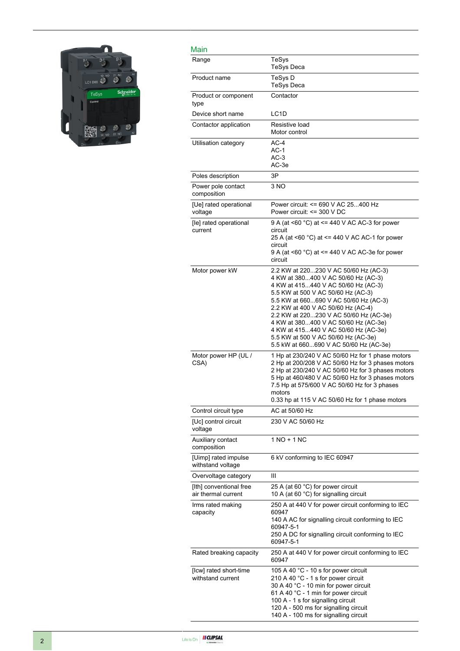

| Main                                           |                                                                                                                                                                                                                                                                                                                                                                                                                                                     |
|------------------------------------------------|-----------------------------------------------------------------------------------------------------------------------------------------------------------------------------------------------------------------------------------------------------------------------------------------------------------------------------------------------------------------------------------------------------------------------------------------------------|
| Range                                          | TeSys<br><b>TeSys Deca</b>                                                                                                                                                                                                                                                                                                                                                                                                                          |
| Product name                                   | TeSys D<br><b>TeSys Deca</b>                                                                                                                                                                                                                                                                                                                                                                                                                        |
| Product or component<br>type                   | Contactor                                                                                                                                                                                                                                                                                                                                                                                                                                           |
| Device short name                              | LC <sub>1</sub> D                                                                                                                                                                                                                                                                                                                                                                                                                                   |
| Contactor application                          | Resistive load<br>Motor control                                                                                                                                                                                                                                                                                                                                                                                                                     |
| Utilisation category                           | $AC-4$<br>$AC-1$<br>$AC-3$<br>AC-3e                                                                                                                                                                                                                                                                                                                                                                                                                 |
| Poles description                              | 3P                                                                                                                                                                                                                                                                                                                                                                                                                                                  |
| Power pole contact<br>composition              | 3 NO                                                                                                                                                                                                                                                                                                                                                                                                                                                |
| [Ue] rated operational<br>voltage              | Power circuit: <= 690 V AC 25400 Hz<br>Power circuit: <= 300 V DC                                                                                                                                                                                                                                                                                                                                                                                   |
| [le] rated operational<br>current              | 9 A (at <60 °C) at <= 440 V AC AC-3 for power<br>circuit<br>25 A (at <60 °C) at <= 440 V AC AC-1 for power<br>circuit<br>9 A (at <60 $^{\circ}$ C) at <= 440 V AC AC-3e for power<br>circuit                                                                                                                                                                                                                                                        |
| Motor power kW                                 | 2.2 KW at 220230 V AC 50/60 Hz (AC-3)<br>4 KW at 380400 V AC 50/60 Hz (AC-3)<br>4 KW at 415440 V AC 50/60 Hz (AC-3)<br>5.5 KW at 500 V AC 50/60 Hz (AC-3)<br>5.5 KW at 660690 V AC 50/60 Hz (AC-3)<br>2.2 KW at 400 V AC 50/60 Hz (AC-4)<br>2.2 KW at 220230 V AC 50/60 Hz (AC-3e)<br>4 KW at 380400 V AC 50/60 Hz (AC-3e)<br>4 KW at 415440 V AC 50/60 Hz (AC-3e)<br>5.5 KW at 500 V AC 50/60 Hz (AC-3e)<br>5.5 kW at 660690 V AC 50/60 Hz (AC-3e) |
| Motor power HP (UL /<br>CSA)                   | 1 Hp at 230/240 V AC 50/60 Hz for 1 phase motors<br>2 Hp at 200/208 V AC 50/60 Hz for 3 phases motors<br>2 Hp at 230/240 V AC 50/60 Hz for 3 phases motors<br>5 Hp at 460/480 V AC 50/60 Hz for 3 phases motors<br>7.5 Hp at 575/600 V AC 50/60 Hz for 3 phases<br>motors<br>0.33 hp at 115 V AC 50/60 Hz for 1 phase motors                                                                                                                        |
| Control circuit type                           | AC at 50/60 Hz                                                                                                                                                                                                                                                                                                                                                                                                                                      |
| [Uc] control circuit<br>voltage                | 230 V AC 50/60 Hz                                                                                                                                                                                                                                                                                                                                                                                                                                   |
| Auxiliary contact<br>composition               | $1 NQ + 1 NC$                                                                                                                                                                                                                                                                                                                                                                                                                                       |
| [Uimp] rated impulse<br>withstand voltage      | 6 kV conforming to IEC 60947                                                                                                                                                                                                                                                                                                                                                                                                                        |
| Overvoltage category                           | Ш                                                                                                                                                                                                                                                                                                                                                                                                                                                   |
| [Ith] conventional free<br>air thermal current | 25 A (at 60 °C) for power circuit<br>10 A (at 60 °C) for signalling circuit                                                                                                                                                                                                                                                                                                                                                                         |
| Irms rated making<br>capacity                  | 250 A at 440 V for power circuit conforming to IEC<br>60947<br>140 A AC for signalling circuit conforming to IEC<br>60947-5-1<br>250 A DC for signalling circuit conforming to IEC<br>60947-5-1                                                                                                                                                                                                                                                     |
| Rated breaking capacity                        | 250 A at 440 V for power circuit conforming to IEC<br>60947                                                                                                                                                                                                                                                                                                                                                                                         |
| [Icw] rated short-time<br>withstand current    | 105 A 40 °C - 10 s for power circuit<br>210 A 40 °C - 1 s for power circuit<br>30 A 40 °C - 10 min for power circuit<br>61 A 40 °C - 1 min for power circuit<br>100 A - 1 s for signalling circuit<br>120 A - 500 ms for signalling circuit<br>140 A - 100 ms for signalling circuit                                                                                                                                                                |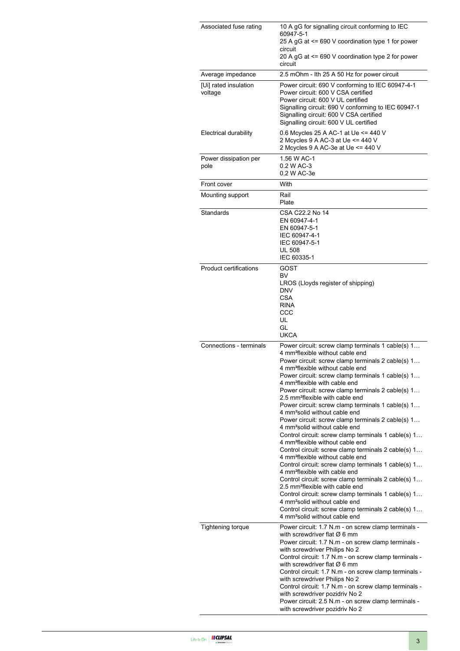| Associated fuse rating           | 10 A gG for signalling circuit conforming to IEC<br>60947-5-1<br>25 A gG at <= 690 V coordination type 1 for power<br>circuit<br>20 A gG at <= 690 V coordination type 2 for power<br>circuit                                                                                                                                                                                                                                                                                                                                                                                                                                                                                                                                                                                                                                                                                                                                                                                                                                                                                                                                                                                                                                                    |  |  |
|----------------------------------|--------------------------------------------------------------------------------------------------------------------------------------------------------------------------------------------------------------------------------------------------------------------------------------------------------------------------------------------------------------------------------------------------------------------------------------------------------------------------------------------------------------------------------------------------------------------------------------------------------------------------------------------------------------------------------------------------------------------------------------------------------------------------------------------------------------------------------------------------------------------------------------------------------------------------------------------------------------------------------------------------------------------------------------------------------------------------------------------------------------------------------------------------------------------------------------------------------------------------------------------------|--|--|
| Average impedance                | 2.5 mOhm - Ith 25 A 50 Hz for power circuit                                                                                                                                                                                                                                                                                                                                                                                                                                                                                                                                                                                                                                                                                                                                                                                                                                                                                                                                                                                                                                                                                                                                                                                                      |  |  |
| [Ui] rated insulation<br>voltage | Power circuit: 690 V conforming to IEC 60947-4-1<br>Power circuit: 600 V CSA certified<br>Power circuit: 600 V UL certified<br>Signalling circuit: 690 V conforming to IEC 60947-1<br>Signalling circuit: 600 V CSA certified<br>Signalling circuit: 600 V UL certified                                                                                                                                                                                                                                                                                                                                                                                                                                                                                                                                                                                                                                                                                                                                                                                                                                                                                                                                                                          |  |  |
| Electrical durability            | 0.6 Mcycles 25 A AC-1 at Ue <= 440 V<br>2 Mcycles 9 A AC-3 at Ue <= 440 V<br>2 Mcycles 9 A AC-3e at Ue <= 440 V                                                                                                                                                                                                                                                                                                                                                                                                                                                                                                                                                                                                                                                                                                                                                                                                                                                                                                                                                                                                                                                                                                                                  |  |  |
| Power dissipation per<br>pole    | 1.56 W AC-1<br>0.2 W AC-3<br>0.2 W AC-3e                                                                                                                                                                                                                                                                                                                                                                                                                                                                                                                                                                                                                                                                                                                                                                                                                                                                                                                                                                                                                                                                                                                                                                                                         |  |  |
| Front cover                      | With                                                                                                                                                                                                                                                                                                                                                                                                                                                                                                                                                                                                                                                                                                                                                                                                                                                                                                                                                                                                                                                                                                                                                                                                                                             |  |  |
| Mounting support                 | Rail<br>Plate                                                                                                                                                                                                                                                                                                                                                                                                                                                                                                                                                                                                                                                                                                                                                                                                                                                                                                                                                                                                                                                                                                                                                                                                                                    |  |  |
| Standards                        | CSA C22.2 No 14<br>EN 60947-4-1<br>EN 60947-5-1<br>IEC 60947-4-1<br>IEC 60947-5-1<br><b>UL 508</b><br>IEC 60335-1                                                                                                                                                                                                                                                                                                                                                                                                                                                                                                                                                                                                                                                                                                                                                                                                                                                                                                                                                                                                                                                                                                                                |  |  |
| Product certifications           | GOST<br>BV<br>LROS (Lloyds register of shipping)<br><b>DNV</b><br><b>CSA</b><br><b>RINA</b><br>CCC<br>UL<br>GL<br><b>UKCA</b>                                                                                                                                                                                                                                                                                                                                                                                                                                                                                                                                                                                                                                                                                                                                                                                                                                                                                                                                                                                                                                                                                                                    |  |  |
| Connections - terminals          | Power circuit: screw clamp terminals 1 cable(s) 1<br>4 mm <sup>2</sup> flexible without cable end<br>Power circuit: screw clamp terminals 2 cable(s) 1<br>4 mm <sup>2</sup> flexible without cable end<br>Power circuit: screw clamp terminals 1 cable(s) 1<br>4 mm <sup>2</sup> flexible with cable end<br>Power circuit: screw clamp terminals 2 cable(s) 1<br>2.5 mm <sup>2</sup> flexible with cable end<br>Power circuit: screw clamp terminals 1 cable(s) 1<br>4 mm <sup>2</sup> solid without cable end<br>Power circuit: screw clamp terminals 2 cable(s) 1<br>4 mm <sup>2</sup> solid without cable end<br>Control circuit: screw clamp terminals 1 cable(s) 1<br>4 mm <sup>2</sup> flexible without cable end<br>Control circuit: screw clamp terminals 2 cable(s) 1<br>4 mm <sup>2</sup> flexible without cable end<br>Control circuit: screw clamp terminals 1 cable(s) 1<br>4 mm <sup>2</sup> flexible with cable end<br>Control circuit: screw clamp terminals 2 cable(s) 1<br>2.5 mm <sup>2</sup> flexible with cable end<br>Control circuit: screw clamp terminals 1 cable(s) 1<br>4 mm <sup>2</sup> solid without cable end<br>Control circuit: screw clamp terminals 2 cable(s) 1<br>4 mm <sup>2</sup> solid without cable end |  |  |
| <b>Tightening torque</b>         | Power circuit: 1.7 N.m - on screw clamp terminals -<br>with screwdriver flat $\varnothing$ 6 mm<br>Power circuit: 1.7 N.m - on screw clamp terminals -<br>with screwdriver Philips No 2<br>Control circuit: 1.7 N.m - on screw clamp terminals -<br>with screwdriver flat $\varnothing$ 6 mm<br>Control circuit: 1.7 N.m - on screw clamp terminals -<br>with screwdriver Philips No 2<br>Control circuit: 1.7 N.m - on screw clamp terminals -<br>with screwdriver pozidriv No 2<br>Power circuit: 2.5 N.m - on screw clamp terminals -<br>with screwdriver pozidriv No 2                                                                                                                                                                                                                                                                                                                                                                                                                                                                                                                                                                                                                                                                       |  |  |

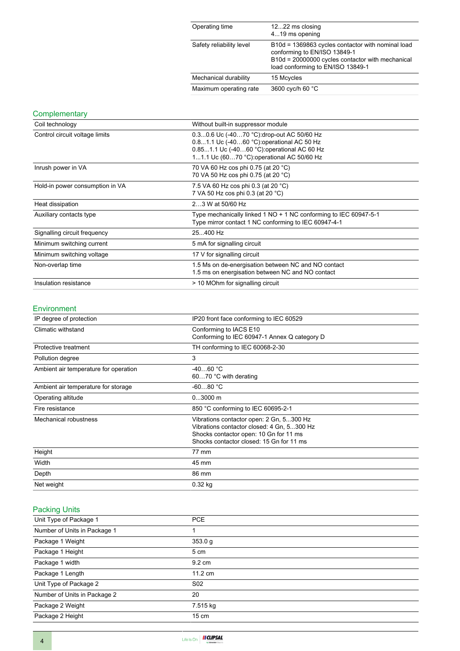| Operating time           | 1222 ms closing<br>419 ms opening                                                                                                                                          |
|--------------------------|----------------------------------------------------------------------------------------------------------------------------------------------------------------------------|
| Safety reliability level | B10d = 1369863 cycles contactor with nominal load<br>conforming to EN/ISO 13849-1<br>B10d = 20000000 cycles contactor with mechanical<br>load conforming to EN/ISO 13849-1 |
| Mechanical durability    | 15 Mcycles                                                                                                                                                                 |
| Maximum operating rate   | 3600 cyc/h 60 °C                                                                                                                                                           |

### **Complementary**

| Coil technology                 | Without built-in suppressor module                                                                                                                                                   |  |  |
|---------------------------------|--------------------------------------------------------------------------------------------------------------------------------------------------------------------------------------|--|--|
| Control circuit voltage limits  | 0.30.6 Uc (-4070 °C): drop-out AC 50/60 Hz<br>0.81.1 Uc (-4060 °C) operational AC 50 Hz<br>0.851.1 Uc (-4060 °C): operational AC 60 Hz<br>11.1 Uc (6070 °C): operational AC 50/60 Hz |  |  |
| Inrush power in VA              | 70 VA 60 Hz cos phi 0.75 (at 20 °C)<br>70 VA 50 Hz cos phi 0.75 (at 20 °C)                                                                                                           |  |  |
| Hold-in power consumption in VA | 7.5 VA 60 Hz cos phi 0.3 (at 20 °C)<br>7 VA 50 Hz cos phi 0.3 (at 20 °C)                                                                                                             |  |  |
| Heat dissipation                | 23 W at 50/60 Hz                                                                                                                                                                     |  |  |
| Auxiliary contacts type         | Type mechanically linked 1 NO + 1 NC conforming to IEC 60947-5-1<br>Type mirror contact 1 NC conforming to IEC 60947-4-1                                                             |  |  |
| Signalling circuit frequency    | 25400 Hz                                                                                                                                                                             |  |  |
| Minimum switching current       | 5 mA for signalling circuit                                                                                                                                                          |  |  |
| Minimum switching voltage       | 17 V for signalling circuit                                                                                                                                                          |  |  |
| Non-overlap time                | 1.5 Ms on de-energisation between NC and NO contact<br>1.5 ms on energisation between NC and NO contact                                                                              |  |  |
| Insulation resistance           | > 10 MOhm for signalling circuit                                                                                                                                                     |  |  |

#### Environment

| IP degree of protection                                                                                                                                                                               | IP20 front face conforming to IEC 60529                                |  |
|-------------------------------------------------------------------------------------------------------------------------------------------------------------------------------------------------------|------------------------------------------------------------------------|--|
| Climatic withstand                                                                                                                                                                                    | Conforming to IACS E10<br>Conforming to IEC 60947-1 Annex Q category D |  |
| Protective treatment                                                                                                                                                                                  | TH conforming to IEC 60068-2-30                                        |  |
| Pollution degree                                                                                                                                                                                      | 3                                                                      |  |
| Ambient air temperature for operation                                                                                                                                                                 | $-4060 °C$<br>6070 °C with derating                                    |  |
| Ambient air temperature for storage                                                                                                                                                                   | $-6080 °C$                                                             |  |
| Operating altitude                                                                                                                                                                                    | $03000$ m                                                              |  |
| Fire resistance                                                                                                                                                                                       | 850 °C conforming to IEC 60695-2-1                                     |  |
| Mechanical robustness<br>Vibrations contactor open: 2 Gn, 5300 Hz<br>Vibrations contactor closed: 4 Gn, 5300 Hz<br>Shocks contactor open: 10 Gn for 11 ms<br>Shocks contactor closed: 15 Gn for 11 ms |                                                                        |  |
| Height                                                                                                                                                                                                | 77 mm                                                                  |  |
| Width                                                                                                                                                                                                 | 45 mm                                                                  |  |
| Depth                                                                                                                                                                                                 | 86 mm                                                                  |  |
| Net weight                                                                                                                                                                                            | $0.32$ kg                                                              |  |

# Packing Units

| Unit Type of Package 1       | <b>PCE</b>        |
|------------------------------|-------------------|
| Number of Units in Package 1 |                   |
| Package 1 Weight             | 353.0 g           |
| Package 1 Height             | 5 cm              |
| Package 1 width              | $9.2 \text{ cm}$  |
| Package 1 Length             | $11.2 \text{ cm}$ |
| Unit Type of Package 2       | S <sub>02</sub>   |
| Number of Units in Package 2 | 20                |
| Package 2 Weight             | 7.515 kg          |
| Package 2 Height             | $15 \text{ cm}$   |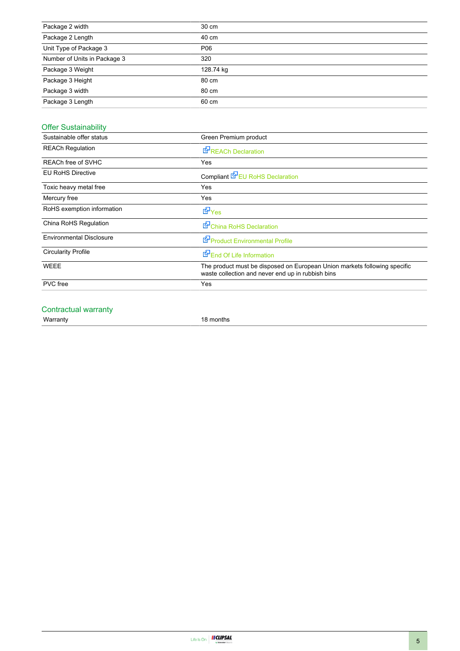| Package 2 width              | 30 cm     |
|------------------------------|-----------|
| Package 2 Length             | 40 cm     |
| Unit Type of Package 3       | P06       |
| Number of Units in Package 3 | 320       |
| Package 3 Weight             | 128.74 kg |
| Package 3 Height             | 80 cm     |
| Package 3 width              | 80 cm     |
| Package 3 Length             | 60 cm     |

## Offer Sustainability

| Sustainable offer status        | Green Premium product                                                                                                          |  |  |
|---------------------------------|--------------------------------------------------------------------------------------------------------------------------------|--|--|
| <b>REACh Regulation</b>         | <b>E</b> REACh Declaration                                                                                                     |  |  |
| REACh free of SVHC              | Yes                                                                                                                            |  |  |
| <b>EU RoHS Directive</b>        | Compliant EPEU RoHS Declaration                                                                                                |  |  |
| Toxic heavy metal free          | Yes                                                                                                                            |  |  |
| Mercury free                    | Yes                                                                                                                            |  |  |
| RoHS exemption information      | <b>E</b> Yes                                                                                                                   |  |  |
| China RoHS Regulation           | China RoHS Declaration                                                                                                         |  |  |
| <b>Environmental Disclosure</b> | <b>E</b> Product Environmental Profile                                                                                         |  |  |
| <b>Circularity Profile</b>      | End Of Life Information                                                                                                        |  |  |
| <b>WEEE</b>                     | The product must be disposed on European Union markets following specific<br>waste collection and never end up in rubbish bins |  |  |
| <b>PVC</b> free                 | Yes                                                                                                                            |  |  |
|                                 |                                                                                                                                |  |  |

#### Contractual warranty

Warranty 18 months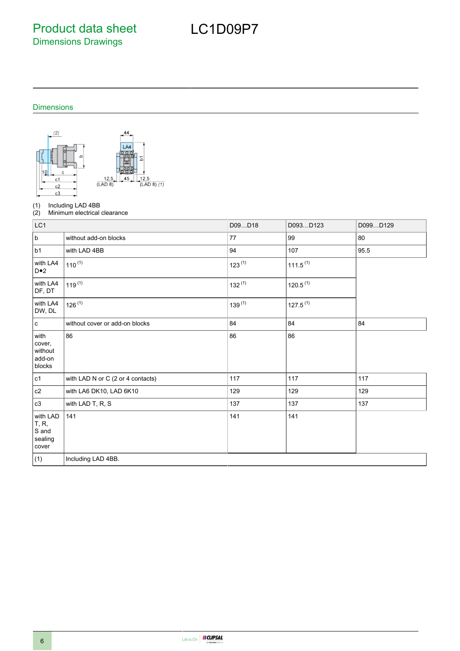Product data sheet Dimensions Drawings

# LC1D09P7

Dimensions



(1) Including LAD 4BB<br>(2) Minimum electrical

Minimum electrical clearance

| LC1                                                            |                                   | D09D18      | D093D123             | D099D129 |
|----------------------------------------------------------------|-----------------------------------|-------------|----------------------|----------|
| $\sf b$                                                        | without add-on blocks             | 77          | 99                   | 80       |
| b1                                                             | with LAD 4BB                      | 94          | 107                  | 95.5     |
| with LA4<br>$D \bullet 2$                                      | $110^{(1)}$                       | $123^{(1)}$ | $111.5^{(1)}$        |          |
| with LA4<br>DF, DT                                             | $119^{(1)}$                       | $132^{(1)}$ | 120.5 <sup>(1)</sup> |          |
| with LA4<br>DW, DL                                             | $126^{(1)}$                       | $139^{(1)}$ | $127.5^{(1)}$        |          |
| $\mathbf c$                                                    | without cover or add-on blocks    | 84          | 84                   | 84       |
| with<br>cover,<br>without<br>add-on<br>blocks                  | 86                                | 86          | 86                   |          |
| c1                                                             | with LAD N or C (2 or 4 contacts) | 117         | 117                  | 117      |
| c2                                                             | with LA6 DK10, LAD 6K10           | 129         | 129                  | 129      |
| c3                                                             | with LAD T, R, S                  | 137         | 137                  | 137      |
| with LAD<br><b>T</b> , <b>R</b> ,<br>S and<br>sealing<br>cover | 141                               | 141         | 141                  |          |
| (1)                                                            | Including LAD 4BB.                |             |                      |          |